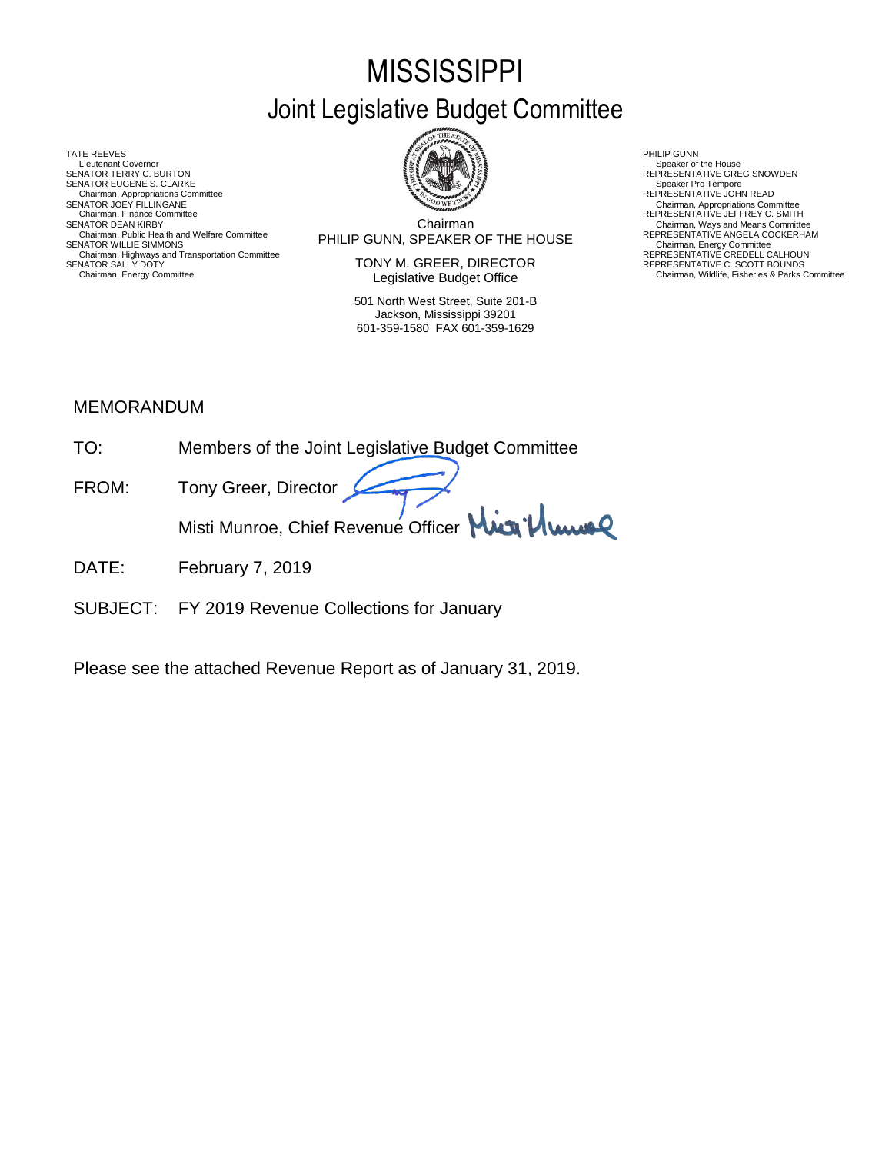# **MISSISSIPPI** Joint Legislative Budget Committee

TATE REEVES THE REDUCT THE REEVES AND RELATED AS A RELATED MALL OF LATER REEVES AND RELATED AT A RELATED MALL OF LATER SUMMARY AND RELATED AT A RELATED AND RELATED AT A RELATED MALL OF LATER SUMMARY AND RELATED AT A RELAT Lieutenant Governor<br>SENATOR TERRY C. BURTON SENATOR EUGENE S. CLARKE Chairman, Appropriations Committee<br>SENATOR JOEY FILLINGANE SENATOR JOEY FILLINGANE<br>Chairman, Finance Committee Alternations Committee Chairman, Appropriations Committee Committee Chairman, Appropriations Committee Chairman, Appropriations Committee Chairman, Highways and Transportation Committee The Manusculine CREDELL CALHOUN<br>SENATOR SALLY DOTY ON THE SCOTT BOUNDS



Chairman Chairman, Public Health and Welfare Committee **PHILIP GUNN, SPEAKER OF THE HOUSE** REPRESENTATIVE ANGELA COCKERHAM<br>SENATOR WILLIE SIMMONS SENATOR DEAN KIRBY<br>Chairman, Public Health and Welfare Committee<br>Chairman, Public Health and Welfare Committee<br>PHII IP GIINN SPEAKER OF THE HOI ISE

TONY M. GREER, DIRECTOR Legislative Budget Office Chairman, Fighways and Hansponiation Committee<br>Chairman, Energy Committee **Chairman, Energy Committee Chairman, Energy Committee Chairman, Energy Committee Chairman, Energy Committee Chairman, Energy Committee Chairman, En** 

> 501 North West Street, Suite 201-B Jackson, Mississippi 39201 601-359-1580 FAX 601-359-1629

SENATOR THE SENATOR TERRY CONSUMERS REPRESENTATIVE GREG SNOWDEN<br>Speaker Pro Tempore

#### MEMORANDUM

| TO:   | Members of the Joint Legislative Budget Committee |
|-------|---------------------------------------------------|
| FROM: | Tony Greer, Director                              |
|       | Misti Munroe, Chief Revenue Officer Min Plume     |

- DATE: February 7, 2019
- SUBJECT: FY 2019 Revenue Collections for January

Please see the attached Revenue Report as of January 31, 2019.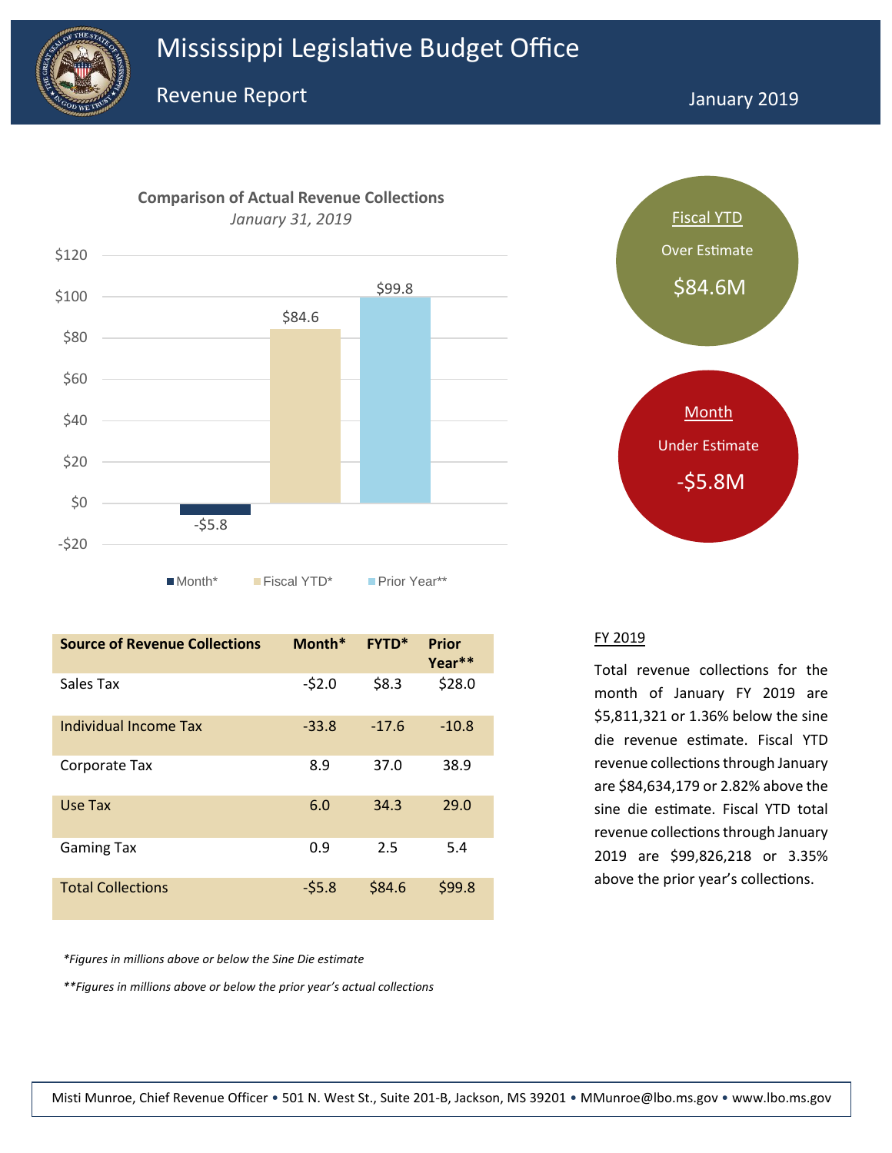



**Source of Revenue Collections Month\* FYTD\* Prior Year\*\*** Sales Tax  $-52.0$  \$8.3 \$28.0 Individual Income Tax -33.8 -17.6 -10.8 Corporate Tax 8.9 37.0 38.9 Use Tax 6.0 34.3 29.0 Gaming Tax **6.4** 6.9 **1.5 1.4** 6.4 **6.4** 6.4 Total Collections - \$5.8 \$84.6 \$99.8

*\*Figures in millions above or below the Sine Die estimate*

*\*\*Figures in millions above or below the prior year's actual collections*



#### FY 2019

Total revenue collections for the month of January FY 2019 are \$5,811,321 or 1.36% below the sine die revenue estimate. Fiscal YTD revenue collections through January are \$84,634,179 or 2.82% above the sine die estimate. Fiscal YTD total revenue collections through January 2019 are \$99,826,218 or 3.35% above the prior year's collections.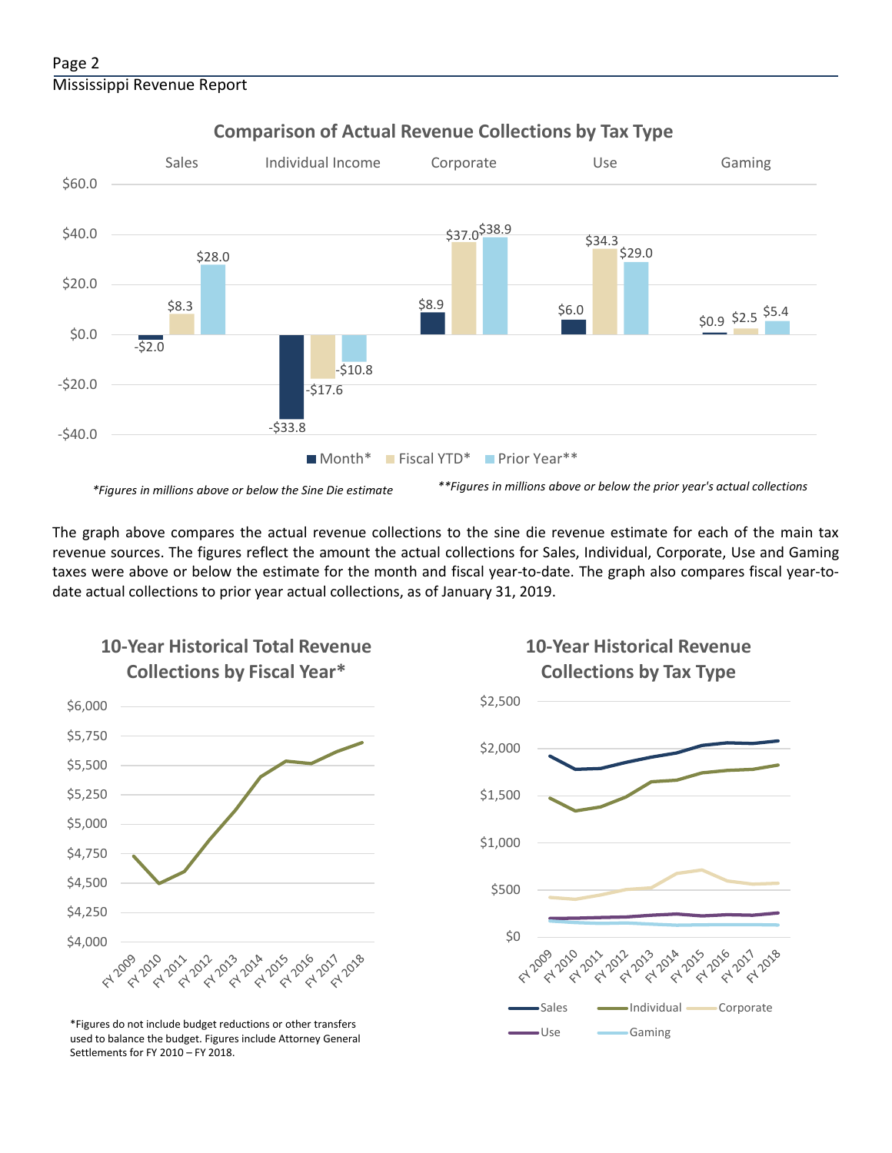

### **Comparison of Actual Revenue Collections by Tax Type**

The graph above compares the actual revenue collections to the sine die revenue estimate for each of the main tax revenue sources. The figures reflect the amount the actual collections for Sales, Individual, Corporate, Use and Gaming taxes were above or below the estimate for the month and fiscal year-to-date. The graph also compares fiscal year-todate actual collections to prior year actual collections, as of January 31, 2019.



**10-Year Historical Total Revenue** 

Use Gaming \*Figures do not include budget reductions or other transfers used to balance the budget. Figures include Attorney General Settlements for FY 2010 – FY 2018.

## **10-Year Historical Revenue Collections by Tax Type**

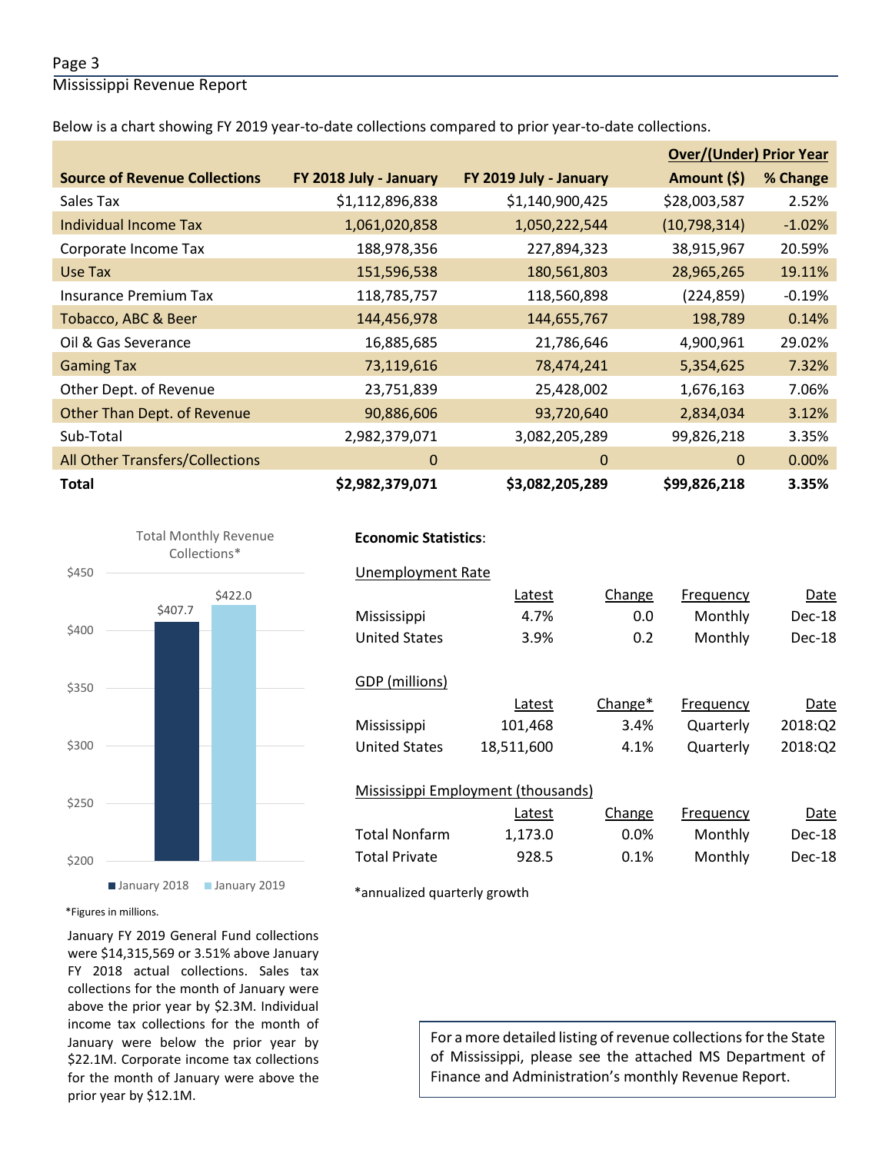#### Page 3

Mississippi Revenue Report

Below is a chart showing FY 2019 year-to-date collections compared to prior year-to-date collections.

|                                      |                        |                        | <b>Over/(Under) Prior Year</b> |          |  |
|--------------------------------------|------------------------|------------------------|--------------------------------|----------|--|
| <b>Source of Revenue Collections</b> | FY 2018 July - January | FY 2019 July - January | Amount (\$)                    | % Change |  |
| Sales Tax                            | \$1,112,896,838        | \$1,140,900,425        | \$28,003,587                   | 2.52%    |  |
| Individual Income Tax                | 1,061,020,858          | 1,050,222,544          | (10,798,314)                   | $-1.02%$ |  |
| Corporate Income Tax                 | 188,978,356            | 227,894,323            | 38,915,967                     | 20.59%   |  |
| Use Tax                              | 151,596,538            | 180,561,803            | 28,965,265                     | 19.11%   |  |
| <b>Insurance Premium Tax</b>         | 118,785,757            | 118,560,898            | (224, 859)                     | $-0.19%$ |  |
| Tobacco, ABC & Beer                  | 144,456,978            | 144,655,767            | 198,789                        | 0.14%    |  |
| Oil & Gas Severance                  | 16,885,685             | 21,786,646             | 4,900,961                      | 29.02%   |  |
| <b>Gaming Tax</b>                    | 73,119,616             | 78,474,241             | 5,354,625                      | 7.32%    |  |
| Other Dept. of Revenue               | 23,751,839             | 25,428,002             | 1,676,163                      | 7.06%    |  |
| <b>Other Than Dept. of Revenue</b>   | 90,886,606             | 93,720,640             | 2,834,034                      | 3.12%    |  |
| Sub-Total                            | 2,982,379,071          | 3,082,205,289          | 99,826,218                     | 3.35%    |  |
| All Other Transfers/Collections      | $\Omega$               | $\Omega$               | 0                              | 0.00%    |  |
| <b>Total</b>                         | \$2,982,379,071        | \$3,082,205,289        | \$99,826,218                   | 3.35%    |  |



#### **Economic Statistics**:

| Unemployment Rate                  |            |         |           |         |  |  |  |  |
|------------------------------------|------------|---------|-----------|---------|--|--|--|--|
|                                    | Latest     | Change  | Frequency | Date    |  |  |  |  |
| Mississippi                        | 4.7%       | 0.0     | Monthly   | Dec-18  |  |  |  |  |
| <b>United States</b>               | 3.9%       | 0.2     | Monthly   | Dec-18  |  |  |  |  |
|                                    |            |         |           |         |  |  |  |  |
| GDP (millions)                     |            |         |           |         |  |  |  |  |
|                                    | Latest     | Change* | Frequency | Date    |  |  |  |  |
| Mississippi                        | 101,468    | 3.4%    | Quarterly | 2018:02 |  |  |  |  |
| <b>United States</b>               | 18,511,600 | 4.1%    | Quarterly | 2018:Q2 |  |  |  |  |
|                                    |            |         |           |         |  |  |  |  |
| Mississippi Employment (thousands) |            |         |           |         |  |  |  |  |
|                                    | Latest     | Change  | Frequency | Date    |  |  |  |  |
| <b>Total Nonfarm</b>               | 1,173.0    | 0.0%    | Monthly   | Dec-18  |  |  |  |  |
| <b>Total Private</b>               | 928.5      | 0.1%    | Monthly   | Dec-18  |  |  |  |  |

\*annualized quarterly growth

\*Figures in millions.

January FY 2019 General Fund collections were \$14,315,569 or 3.51% above January FY 2018 actual collections. Sales tax collections for the month of January were above the prior year by \$2.3M. Individual income tax collections for the month of January were below the prior year by \$22.1M. Corporate income tax collections for the month of January were above the prior year by \$12.1M.

For a more detailed listing of revenue collections for the State of Mississippi, please see the attached MS Department of Finance and Administration's monthly Revenue Report.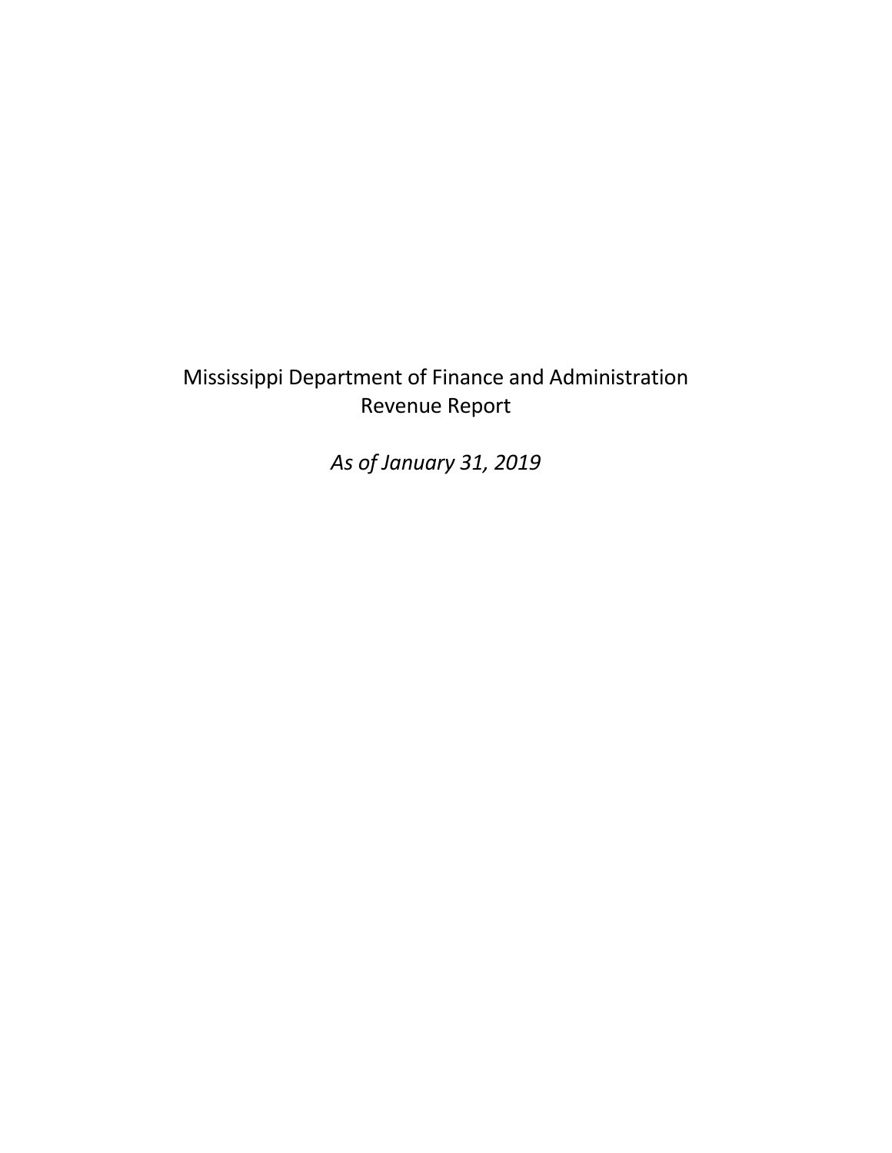# Mississippi Department of Finance and Administration Revenue Report

*As of January 31, 2019*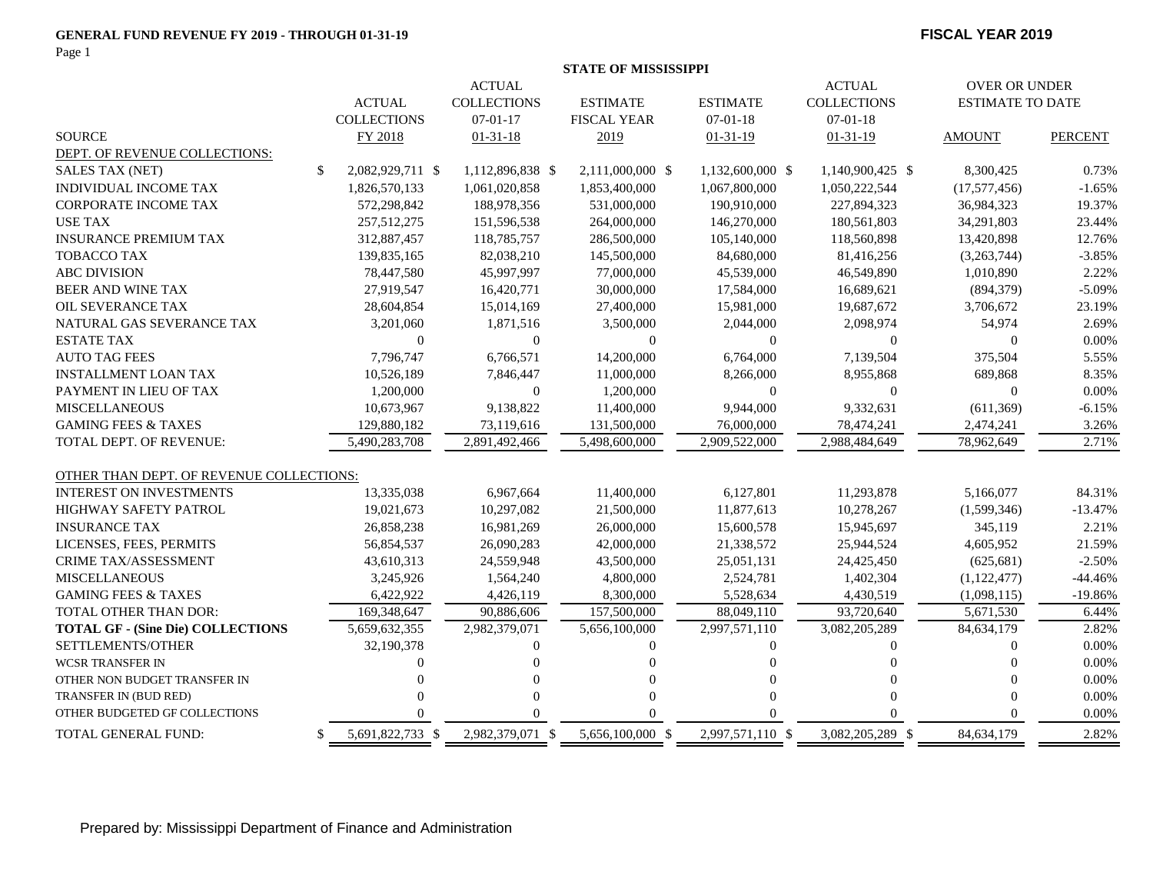#### **GENERAL FUND REVENUE FY 2019 - THROUGH 01-31-19 FISCAL YEAR 2019**

Page 1

|                                          |                                |                    |                    | <b>STATE OF MISSISSIPPI</b> |                  |                    |                         |                |
|------------------------------------------|--------------------------------|--------------------|--------------------|-----------------------------|------------------|--------------------|-------------------------|----------------|
|                                          | <b>ACTUAL</b><br><b>ACTUAL</b> |                    |                    |                             |                  |                    | <b>OVER OR UNDER</b>    |                |
|                                          |                                | <b>ACTUAL</b>      | <b>COLLECTIONS</b> | <b>ESTIMATE</b>             | <b>ESTIMATE</b>  | <b>COLLECTIONS</b> | <b>ESTIMATE TO DATE</b> |                |
|                                          |                                | <b>COLLECTIONS</b> | $07-01-17$         | <b>FISCAL YEAR</b>          | $07 - 01 - 18$   | $07 - 01 - 18$     |                         |                |
| <b>SOURCE</b>                            |                                | FY 2018            | $01 - 31 - 18$     | 2019                        | $01 - 31 - 19$   | $01 - 31 - 19$     | <b>AMOUNT</b>           | <b>PERCENT</b> |
| DEPT. OF REVENUE COLLECTIONS:            |                                |                    |                    |                             |                  |                    |                         |                |
| <b>SALES TAX (NET)</b>                   | \$                             | 2,082,929,711 \$   | 1,112,896,838 \$   | 2,111,000,000 \$            | 1,132,600,000 \$ | 1,140,900,425 \$   | 8,300,425               | 0.73%          |
| <b>INDIVIDUAL INCOME TAX</b>             |                                | 1,826,570,133      | 1,061,020,858      | 1,853,400,000               | 1,067,800,000    | 1,050,222,544      | (17,577,456)            | $-1.65%$       |
| <b>CORPORATE INCOME TAX</b>              |                                | 572,298,842        | 188,978,356        | 531,000,000                 | 190,910,000      | 227,894,323        | 36,984,323              | 19.37%         |
| <b>USE TAX</b>                           |                                | 257,512,275        | 151,596,538        | 264,000,000                 | 146,270,000      | 180,561,803        | 34,291,803              | 23.44%         |
| <b>INSURANCE PREMIUM TAX</b>             |                                | 312,887,457        | 118,785,757        | 286,500,000                 | 105,140,000      | 118,560,898        | 13,420,898              | 12.76%         |
| TOBACCO TAX                              |                                | 139,835,165        | 82,038,210         | 145,500,000                 | 84,680,000       | 81,416,256         | (3,263,744)             | $-3.85%$       |
| <b>ABC DIVISION</b>                      |                                | 78,447,580         | 45,997,997         | 77,000,000                  | 45,539,000       | 46,549,890         | 1,010,890               | 2.22%          |
| <b>BEER AND WINE TAX</b>                 |                                | 27,919,547         | 16,420,771         | 30,000,000                  | 17,584,000       | 16,689,621         | (894, 379)              | $-5.09%$       |
| OIL SEVERANCE TAX                        |                                | 28,604,854         | 15,014,169         | 27,400,000                  | 15,981,000       | 19,687,672         | 3,706,672               | 23.19%         |
| NATURAL GAS SEVERANCE TAX                |                                | 3,201,060          | 1,871,516          | 3,500,000                   | 2,044,000        | 2,098,974          | 54,974                  | 2.69%          |
| <b>ESTATE TAX</b>                        |                                | $\Omega$           | $\overline{0}$     | $\mathbf{0}$                | $\mathbf{0}$     | $\Omega$           | $\Omega$                | $0.00\%$       |
| <b>AUTO TAG FEES</b>                     |                                | 7,796,747          | 6,766,571          | 14,200,000                  | 6,764,000        | 7,139,504          | 375,504                 | 5.55%          |
| <b>INSTALLMENT LOAN TAX</b>              |                                | 10,526,189         | 7,846,447          | 11,000,000                  | 8,266,000        | 8,955,868          | 689,868                 | 8.35%          |
| PAYMENT IN LIEU OF TAX                   |                                | 1,200,000          | $\mathbf{0}$       | 1,200,000                   | $\theta$         | 0                  | $\boldsymbol{0}$        | $0.00\%$       |
| <b>MISCELLANEOUS</b>                     |                                | 10,673,967         | 9,138,822          | 11,400,000                  | 9,944,000        | 9,332,631          | (611, 369)              | $-6.15%$       |
| <b>GAMING FEES &amp; TAXES</b>           |                                | 129,880,182        | 73,119,616         | 131,500,000                 | 76,000,000       | 78,474,241         | 2,474,241               | 3.26%          |
| TOTAL DEPT. OF REVENUE:                  |                                | 5,490,283,708      | 2,891,492,466      | 5,498,600,000               | 2,909,522,000    | 2,988,484,649      | 78,962,649              | 2.71%          |
| OTHER THAN DEPT. OF REVENUE COLLECTIONS: |                                |                    |                    |                             |                  |                    |                         |                |
| <b>INTEREST ON INVESTMENTS</b>           |                                | 13,335,038         | 6,967,664          | 11,400,000                  | 6,127,801        | 11,293,878         | 5,166,077               | 84.31%         |
| <b>HIGHWAY SAFETY PATROL</b>             |                                | 19,021,673         | 10,297,082         | 21,500,000                  | 11,877,613       | 10,278,267         | (1,599,346)             | $-13.47%$      |
| <b>INSURANCE TAX</b>                     |                                | 26,858,238         | 16,981,269         | 26,000,000                  | 15,600,578       | 15,945,697         | 345,119                 | 2.21%          |
| LICENSES, FEES, PERMITS                  |                                | 56,854,537         | 26,090,283         | 42,000,000                  | 21,338,572       | 25,944,524         | 4,605,952               | 21.59%         |
| CRIME TAX/ASSESSMENT                     |                                | 43,610,313         | 24,559,948         | 43,500,000                  | 25,051,131       | 24,425,450         | (625, 681)              | $-2.50%$       |
| <b>MISCELLANEOUS</b>                     |                                | 3,245,926          | 1,564,240          | 4,800,000                   | 2,524,781        | 1,402,304          | (1,122,477)             | $-44.46%$      |
| <b>GAMING FEES &amp; TAXES</b>           |                                | 6,422,922          | 4,426,119          | 8,300,000                   | 5,528,634        | 4,430,519          | (1,098,115)             | $-19.86%$      |
| TOTAL OTHER THAN DOR:                    |                                | 169,348,647        | 90,886,606         | 157,500,000                 | 88,049,110       | 93,720,640         | 5,671,530               | 6.44%          |
| <b>TOTAL GF - (Sine Die) COLLECTIONS</b> |                                | 5,659,632,355      | 2,982,379,071      | 5,656,100,000               | 2,997,571,110    | 3,082,205,289      | 84,634,179              | 2.82%          |
| SETTLEMENTS/OTHER                        |                                | 32,190,378         | $\overline{0}$     | $\mathbf{0}$                | $\mathbf{0}$     | $\overline{0}$     | $\overline{0}$          | $0.00\%$       |
| WCSR TRANSFER IN                         |                                |                    | $\Omega$           |                             |                  | $\Omega$           |                         | 0.00%          |
| OTHER NON BUDGET TRANSFER IN             |                                |                    | $\Omega$           | $\Omega$                    |                  | $\Omega$           | $\Omega$                | 0.00%          |
| TRANSFER IN (BUD RED)                    |                                |                    | $\overline{0}$     | $\Omega$                    | $\Omega$         | $\Omega$           | $\Omega$                | 0.00%          |
| OTHER BUDGETED GF COLLECTIONS            |                                |                    | 0                  | $\Omega$                    |                  |                    | $\Omega$                | 0.00%          |
| <b>TOTAL GENERAL FUND:</b>               | \$                             | 5,691,822,733 \$   | 2,982,379,071 \$   | 5,656,100,000 \$            | 2,997,571,110 \$ | 3,082,205,289 \$   | 84,634,179              | 2.82%          |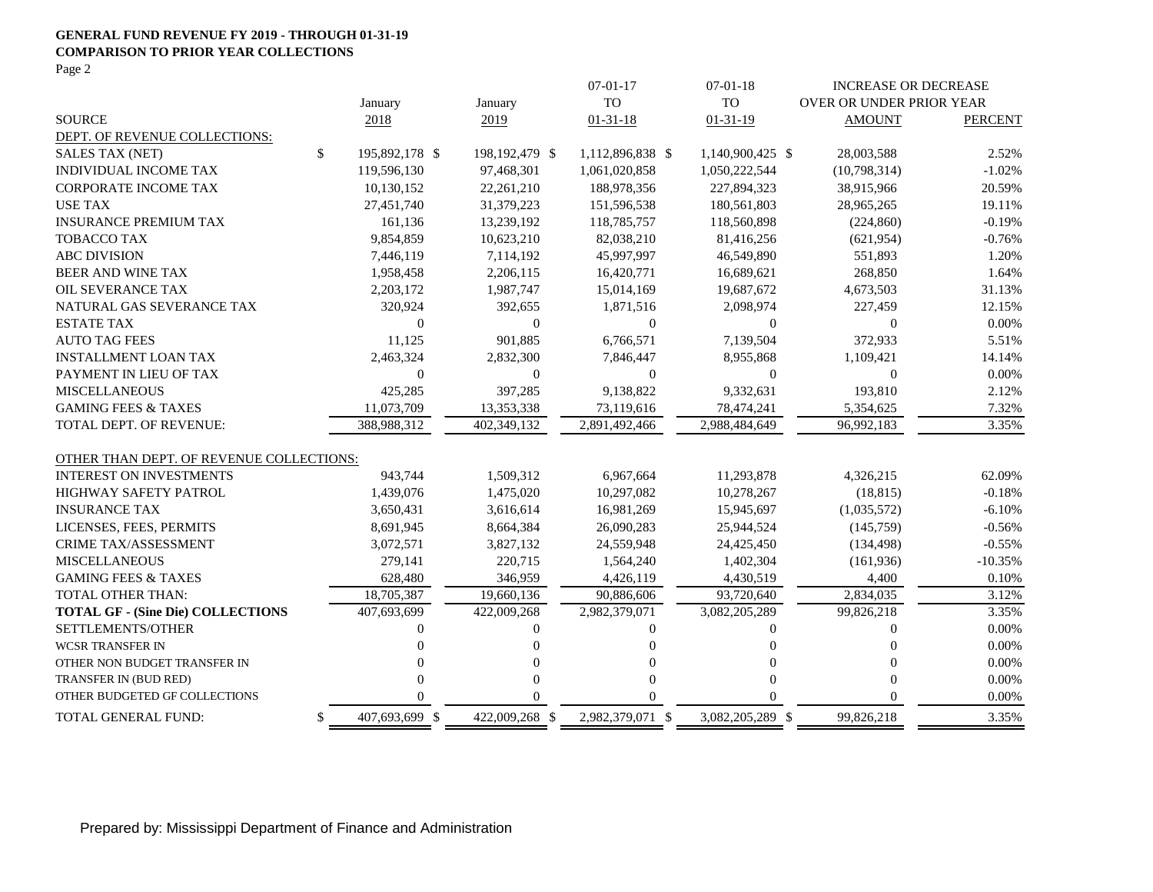#### **GENERAL FUND REVENUE FY 2019 - THROUGH 01-31-19 COMPARISON TO PRIOR YEAR COLLECTIONS**

Page 2

|                                          |    |                  |                | $07-01-17$       | $07 - 01 - 18$   | <b>INCREASE OR DECREASE</b> |                |  |
|------------------------------------------|----|------------------|----------------|------------------|------------------|-----------------------------|----------------|--|
|                                          |    | January          | January        | <b>TO</b>        | <b>TO</b>        | OVER OR UNDER PRIOR YEAR    |                |  |
| <b>SOURCE</b>                            |    | 2018             | 2019           | $01 - 31 - 18$   | $01 - 31 - 19$   | <b>AMOUNT</b>               | <b>PERCENT</b> |  |
| DEPT. OF REVENUE COLLECTIONS:            |    |                  |                |                  |                  |                             |                |  |
| <b>SALES TAX (NET)</b>                   | \$ | 195,892,178 \$   | 198,192,479 \$ | 1,112,896,838 \$ | 1,140,900,425 \$ | 28,003,588                  | 2.52%          |  |
| INDIVIDUAL INCOME TAX                    |    | 119,596,130      | 97,468,301     | 1,061,020,858    | 1,050,222,544    | (10,798,314)                | $-1.02%$       |  |
| <b>CORPORATE INCOME TAX</b>              |    | 10,130,152       | 22,261,210     | 188,978,356      | 227,894,323      | 38,915,966                  | 20.59%         |  |
| <b>USE TAX</b>                           |    | 27,451,740       | 31,379,223     | 151,596,538      | 180,561,803      | 28,965,265                  | 19.11%         |  |
| <b>INSURANCE PREMIUM TAX</b>             |    | 161,136          | 13,239,192     | 118,785,757      | 118,560,898      | (224, 860)                  | $-0.19%$       |  |
| <b>TOBACCO TAX</b>                       |    | 9,854,859        | 10,623,210     | 82,038,210       | 81,416,256       | (621, 954)                  | $-0.76%$       |  |
| <b>ABC DIVISION</b>                      |    | 7,446,119        | 7,114,192      | 45,997,997       | 46,549,890       | 551,893                     | 1.20%          |  |
| <b>BEER AND WINE TAX</b>                 |    | 1,958,458        | 2,206,115      | 16,420,771       | 16,689,621       | 268,850                     | 1.64%          |  |
| OIL SEVERANCE TAX                        |    | 2,203,172        | 1,987,747      | 15,014,169       | 19,687,672       | 4,673,503                   | 31.13%         |  |
| NATURAL GAS SEVERANCE TAX                |    | 320,924          | 392,655        | 1,871,516        | 2,098,974        | 227,459                     | 12.15%         |  |
| <b>ESTATE TAX</b>                        |    | $\boldsymbol{0}$ | 0              | 0                | $\theta$         | $\boldsymbol{0}$            | 0.00%          |  |
| <b>AUTO TAG FEES</b>                     |    | 11,125           | 901,885        | 6,766,571        | 7,139,504        | 372,933                     | 5.51%          |  |
| <b>INSTALLMENT LOAN TAX</b>              |    | 2,463,324        | 2,832,300      | 7,846,447        | 8,955,868        | 1,109,421                   | 14.14%         |  |
| PAYMENT IN LIEU OF TAX                   |    | $\mathbf{0}$     | $\theta$       | $\theta$         | $\theta$         | $\overline{0}$              | 0.00%          |  |
| <b>MISCELLANEOUS</b>                     |    | 425,285          | 397,285        | 9,138,822        | 9,332,631        | 193,810                     | 2.12%          |  |
| <b>GAMING FEES &amp; TAXES</b>           |    | 11,073,709       | 13,353,338     | 73,119,616       | 78,474,241       | 5,354,625                   | 7.32%          |  |
| <b>TOTAL DEPT. OF REVENUE:</b>           |    | 388.988.312      | 402.349.132    | 2.891.492.466    | 2,988,484,649    | 96.992.183                  | 3.35%          |  |
|                                          |    |                  |                |                  |                  |                             |                |  |
| OTHER THAN DEPT. OF REVENUE COLLECTIONS: |    |                  |                |                  |                  |                             |                |  |
| <b>INTEREST ON INVESTMENTS</b>           |    | 943,744          | 1,509,312      | 6,967,664        | 11,293,878       | 4,326,215                   | 62.09%         |  |
| <b>HIGHWAY SAFETY PATROL</b>             |    | 1,439,076        | 1,475,020      | 10,297,082       | 10,278,267       | (18, 815)                   | $-0.18%$       |  |
| <b>INSURANCE TAX</b>                     |    | 3,650,431        | 3,616,614      | 16,981,269       | 15,945,697       | (1,035,572)                 | $-6.10%$       |  |
| LICENSES, FEES, PERMITS                  |    | 8,691,945        | 8,664,384      | 26,090,283       | 25,944,524       | (145,759)                   | $-0.56%$       |  |
| <b>CRIME TAX/ASSESSMENT</b>              |    | 3,072,571        | 3,827,132      | 24,559,948       | 24,425,450       | (134, 498)                  | $-0.55%$       |  |
| <b>MISCELLANEOUS</b>                     |    | 279,141          | 220,715        | 1,564,240        | 1,402,304        | (161, 936)                  | $-10.35%$      |  |
| <b>GAMING FEES &amp; TAXES</b>           |    | 628,480          | 346,959        | 4,426,119        | 4,430,519        | 4,400                       | 0.10%          |  |
| <b>TOTAL OTHER THAN:</b>                 |    | 18,705,387       | 19,660,136     | 90,886,606       | 93,720,640       | 2,834,035                   | 3.12%          |  |
| <b>TOTAL GF - (Sine Die) COLLECTIONS</b> |    | 407,693,699      | 422,009,268    | 2,982,379,071    | 3,082,205,289    | 99,826,218                  | 3.35%          |  |
| SETTLEMENTS/OTHER                        |    | 0                | $\Omega$       | $\Omega$         | $\Omega$         | $\Omega$                    | $0.00\%$       |  |
| <b>WCSR TRANSFER IN</b>                  |    |                  | $\Omega$       | $\Omega$         | $\Omega$         | $\Omega$                    | 0.00%          |  |
| OTHER NON BUDGET TRANSFER IN             |    |                  | $\Omega$       | $\Omega$         | $\Omega$         | $\Omega$                    | 0.00%          |  |
| TRANSFER IN (BUD RED)                    |    |                  | $\Omega$       | $\Omega$         | $\Omega$         | $\Omega$                    | 0.00%          |  |
| OTHER BUDGETED GF COLLECTIONS            |    | 0                | $\Omega$       | $\Omega$         | $\Omega$         | $\Omega$                    | 0.00%          |  |
| TOTAL GENERAL FUND:                      | \$ | 407,693,699 \$   | 422,009,268 \$ | 2,982,379,071 \$ | 3,082,205,289 \$ | 99,826,218                  | 3.35%          |  |